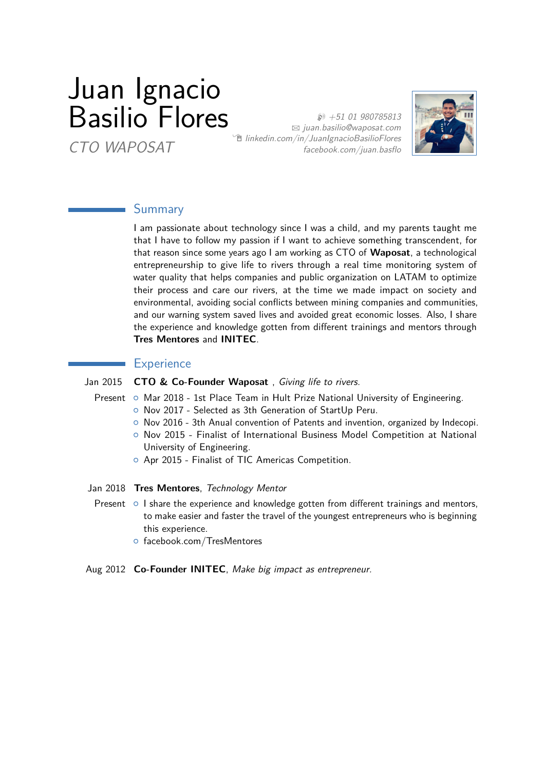# Juan Ignacio Basilio Flores

CTO WAPOSAT

 $$+51$  01 980785813  $\boxtimes$  [juan.basilio@waposat.com](mailto:juan.basilio@waposat.com)  $\hat{p}$  [linkedin.com/in/JuanIgnacioBasilioFlores](http://linkedin.com/in/JuanIgnacioBasilioFlores) [facebook.com/juan.basflo](https://facebook.com/juan.basflo)



## Summary

I am passionate about technology since I was a child, and my parents taught me that I have to follow my passion if I want to achieve something transcendent, for that reason since some years ago I am working as CTO of **Waposat**, a technological entrepreneurship to give life to rivers through a real time monitoring system of water quality that helps companies and public organization on LATAM to optimize their process and care our rivers, at the time we made impact on society and environmental, avoiding social conflicts between mining companies and communities, and our warning system saved lives and avoided great economic losses. Also, I share the experience and knowledge gotten from different trainings and mentors through **Tres Mentores** and **INITEC**.

#### **Experience**

#### Jan 2015 **CTO & Co-Founder Waposat** , Giving life to rivers.

- Present  $\circ$  Mar 2018 1st Place Team in Hult Prize National University of Engineering.
	- { Nov 2017 Selected as 3th Generation of StartUp Peru.
	- $\circ$  Nov 2016 3th Anual convention of Patents and invention, organized by Indecopi.
	- { Nov 2015 Finalist of International Business Model Competition at National University of Engineering.
	- { Apr 2015 Finalist of TIC Americas Competition.
- Jan 2018 **Tres Mentores**, Technology Mentor
	- Present  $\circ$  I share the experience and knowledge gotten from different trainings and mentors, to make easier and faster the travel of the youngest entrepreneurs who is beginning this experience.
		- $\circ$  facebook.com/TresMentores
- Aug 2012 **Co-Founder INITEC**, Make big impact as entrepreneur.